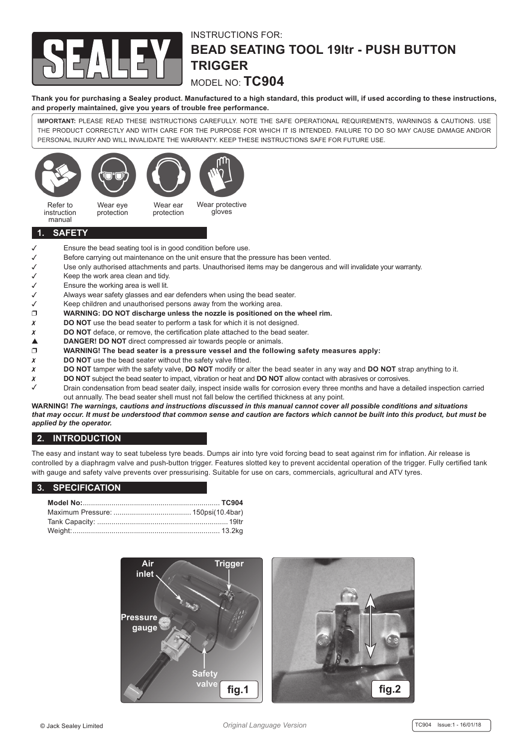

## INSTRUCTIONS FOR: **BEAD SEATING TOOL 19ltr - PUSH BUTTON TRIGGER**

MODEL NO: **TC904**

**Thank you for purchasing a Sealey product. Manufactured to a high standard, this product will, if used according to these instructions, and properly maintained, give you years of trouble free performance.**

**IMPORTANT:** PLEASE READ THESE INSTRUCTIONS CAREFULLY. NOTE THE SAFE OPERATIONAL REQUIREMENTS, WARNINGS & CAUTIONS. USE THE PRODUCT CORRECTLY AND WITH CARE FOR THE PURPOSE FOR WHICH IT IS INTENDED. FAILURE TO DO SO MAY CAUSE DAMAGE AND/OR PERSONAL INJURY AND WILL INVALIDATE THE WARRANTY. KEEP THESE INSTRUCTIONS SAFE FOR FUTURE USE.



#### **1. SAFETY**

- $\checkmark$  Ensure the bead seating tool is in good condition before use.<br> $\checkmark$  Before carrying out maintenance on the unit ensure that the r
- Before carrying out maintenance on the unit ensure that the pressure has been vented.
- Use only authorised attachments and parts. Unauthorised items may be dangerous and will invalidate your warranty.
- 
- $\checkmark$  Keep the work area clean and tidy.<br>
Ensure the working area is well lit.  $\checkmark$  Ensure the working area is well lit.<br> $\checkmark$  Always wear safety glasses and ea
- Always wear safety glasses and ear defenders when using the bead seater.
- $\checkmark$  Keep children and unauthorised persons away from the working area.
- **WARNING: DO NOT discharge unless the nozzle is positioned on the wheel rim.**
- **X** DO NOT use the bead seater to perform a task for which it is not designed.
- **X** DO NOT deface, or remove, the certification plate attached to the bead seater.
- **△** DANGER! DO NOT direct compressed air towards people or animals. □<br>□ WARNING! The bead seater is a pressure vessel and the follow
- **WARNING! The bead seater is a pressure vessel and the following safety measures apply:**<br>**X** DO NOT use the bead seater without the safety valve fitted.
- **DO NOT** use the bead seater without the safety valve fitted.
- **DO NOT** tamper with the safety valve, **DO NOT** modify or alter the bead seater in any way and **DO NOT** strap anything to it.
- **DO** NOT subject the bead seater to impact, vibration or heat and **DO** NOT allow contact with abrasives or corrosives.
- Drain condensation from bead seater daily, inspect inside walls for corrosion every three months and have a detailed inspection carried out annually. The bead seater shell must not fall below the certified thickness at any point.

**WARNING!** *The warnings, cautions and instructions discussed in this manual cannot cover all possible conditions and situations that may occur. It must be understood that common sense and caution are factors which cannot be built into this product, but must be applied by the operator.*

### **2. INTRODUCTION**

The easy and instant way to seat tubeless tyre beads. Dumps air into tyre void forcing bead to seat against rim for inflation. Air release is controlled by a diaphragm valve and push-button trigger. Features slotted key to prevent accidental operation of the trigger. Fully certified tank with gauge and safety valve prevents over pressurising. Suitable for use on cars, commercials, agricultural and ATV tyres.

#### **3. SPECIFICATION**